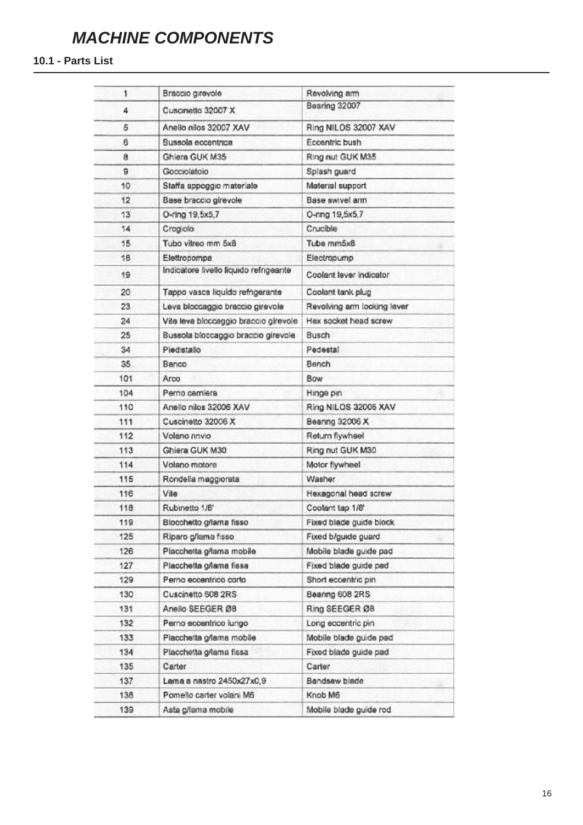## *MACHINE COMPONENTS*

## **10.1 - Parts List**

| $\mathbf{1}$ | Braccio girevole                       | Revolving arm               |  |
|--------------|----------------------------------------|-----------------------------|--|
| 4            | Cuscinetto 32007 X                     | Bearing 32007               |  |
| 5            | Anello nilos 32007 XAV                 | Ring NILOS 32007 XAV        |  |
| 6            | Bussola eccentrica                     | Eccentric bush              |  |
| 8            | Ghiera GUK M35                         | Ring nut GUK M35            |  |
| ğ            | Gocciolatoio                           | Splash guard                |  |
| 10           | Staffa appoggio materiale              | Material support            |  |
| 12           | Base braccio girevole                  | Base swivel arm             |  |
| 13           | O-ring 19,5x5,7                        | O-ring 19,5x5.7             |  |
| 14           | Crogiolo                               | Crucible                    |  |
| 15           | Tubo vitreo mm 5x8                     | Tube mm5x8                  |  |
| 18           | Elettropompa                           | Electropump                 |  |
| 19           | Indicatore livello liquido refrigeante | Coolant lever indicator     |  |
| 20           | Tappo vasca liquido refrigerante       | Coolant tank plug           |  |
| 23           | Leva bloccaggio braccio girevole       | Revolving arm locking lever |  |
| 24           | Vite leva bloccaggio braccio girevole  | Hex socket head screw       |  |
| 25           | Bussola bloccaggio braccio girevole    | Busch                       |  |
| 34           | Piedistallo                            | Pedestal                    |  |
| 35           | Banco                                  | Bench                       |  |
| 101          | Arco                                   | Bow                         |  |
| 104          | Perno carniera                         | Hinge pin                   |  |
| 110          | Anello nilos 32008 XAV                 | Ring NILOS 32005 XAV        |  |
| 111          | Cuscinetto 32006 X                     | Bearing 32006 X             |  |
| 112          | Volano nnvio                           | Return flywheel             |  |
| 113          | Ghiera GUK M30                         | Ring nut GUK M30            |  |
| 114          | Volano motore                          | Motor flywheel              |  |
| 115          | Rondella maggiorata                    | Washer                      |  |
| 116          | Vite                                   | Hexagonal head screw        |  |
| 118          | Rubinetto 1/8°                         | Coolant tap 1/8'            |  |
| 119          | Blocchetto g/lama fisso                | Fixed blade guide block     |  |
| 125          | Riparo g/lama fisso                    | Fixed b/guide guard         |  |
| 126          | Placchetta g/lama mobile               | Mobile blade guide pad      |  |
| 127          | Placchetta g/lama fissa                | Fixed blade guide pad       |  |
| 129          | Perno eccentrico corto                 | Short eccentric pin         |  |
| 130          | Cuscinetto 608 2RS                     | Bearing 608 2RS             |  |
| 131          | Anello SEEGER Ø8                       | Ring SEEGER Ø8              |  |
| 132          | Perno eccentrico lungo                 | Long eccentric pin          |  |
| 133          | Placchetta g/lama mobile               | Mobile blade guide pad      |  |
| 134          | Placchetta g/lama fissa                | Fixed blade guide pad       |  |
| 135          | Carter                                 | Carter                      |  |
| 137          |                                        | Bandsaw blade               |  |
|              | Lama a nastro 2450x27x0,9              |                             |  |
| 138          | Pomello carter volani M6               | Knob M6                     |  |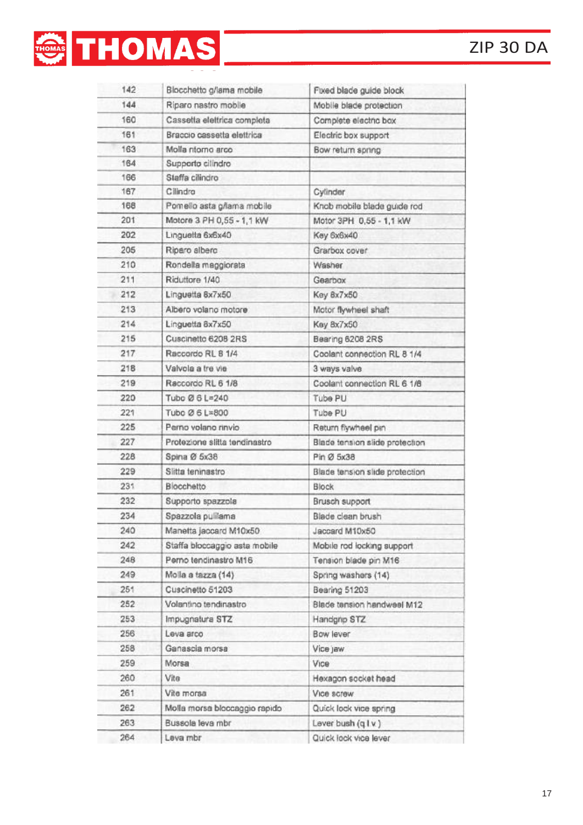| 142 | Blocchetto g/lama mobile      | Fixed blade guide block        |  |
|-----|-------------------------------|--------------------------------|--|
| 144 | Riparo nastro mobile          | Mobile blade protection        |  |
| 160 | Cassetta elettrica completa   | Complete electric box          |  |
| 161 | Braccio cassetta elettrica    | Electric box support           |  |
| 163 | Molla ntorno arco             | Bow return spring              |  |
| 164 | Supporto cilindro             |                                |  |
| 166 | Staffa cilindro               |                                |  |
| 167 | Cilindra                      | Cylinder                       |  |
| 168 | Pomello asta gilama mobile    | Knob mobile blade guide rod    |  |
| 201 | Motore 3 PH 0,55 - 1,1 kW     | Motor 3PH 0,55 - 1,1 kW        |  |
| 202 | Linguetta 6x6x40              | Кеу 6х6х40                     |  |
| 205 | Riparo albero                 | Grarbox cover                  |  |
| 210 | Rondella maggiorata           | Washer                         |  |
| 211 | Riduttore 1/40                | Gearbox                        |  |
| 212 | Linguetta 8x7x50              | Key 8x7x50                     |  |
| 213 | Albero volano motore          | Motor flywheel shaft           |  |
| 214 | Linguetta 8x7x50              | Key 8x7x50                     |  |
| 215 | Cuscinetto 6208 2RS           | Bearing 6208 2RS               |  |
| 217 | Raccordo RL 8 1/4             | Coolant connection RL 8 1/4    |  |
| 218 | Valvola a tre vie             | 3 ways valve                   |  |
| 219 | Raccordo RL 6 1/8             | Coolant connection RL 6 1/8    |  |
| 220 | Tubo Ø 6 L=240                | Tube PU                        |  |
| 221 | Tubo Ø 6 L=800                | Tube PU                        |  |
| 225 | Perno volano rinvio           | Return flywheel psn            |  |
| 227 | Protezione slitta tendinastro | Blade tension slide protection |  |
| 228 | Spina Ø 5x38                  | Pin Ø 5x38                     |  |
| 229 | Slitta teninastro             | Blade tension slide protection |  |
| 231 | Blocchetto                    | Block                          |  |
| 232 | Supporto spazzola             | Brusch support                 |  |
| 234 | Spazzola pulilama             | Blade clean brush              |  |
| 240 | Manetta jaccard M10x50        | Jaccard M10x50                 |  |
| 242 | Staffa bloccaggio asta mobile | Mobile rod locking support     |  |
| 248 | Perno tendinastro M16         | Tension blade pin M16          |  |
| 249 | Molla a tazza (14)            | Spring washers (14)            |  |
| 251 | Cuscinetto 51203              | Bearing 51203                  |  |
| 252 | Volantino tendinastro         | Blade tension handweel M12     |  |
| 253 | Impugnatura STZ               | Handgrip STZ                   |  |
| 256 | Leva arco                     | Bow lever                      |  |
| 258 | Ganascia morsa                | Vice jaw                       |  |
| 259 | Morsa                         | Vice                           |  |
| 260 | Vite                          | Hexagon socket head            |  |
| 261 | Vite morsa                    | Vice screw                     |  |
| 262 | Molla morsa bloccaggio rapido | Quick lock vice spring         |  |
| 263 | Bussola leva mbr              | Lever bush (q I v )            |  |
| 264 | Leva mbr                      | Quick lock vice lever          |  |

**EXTHOMAS**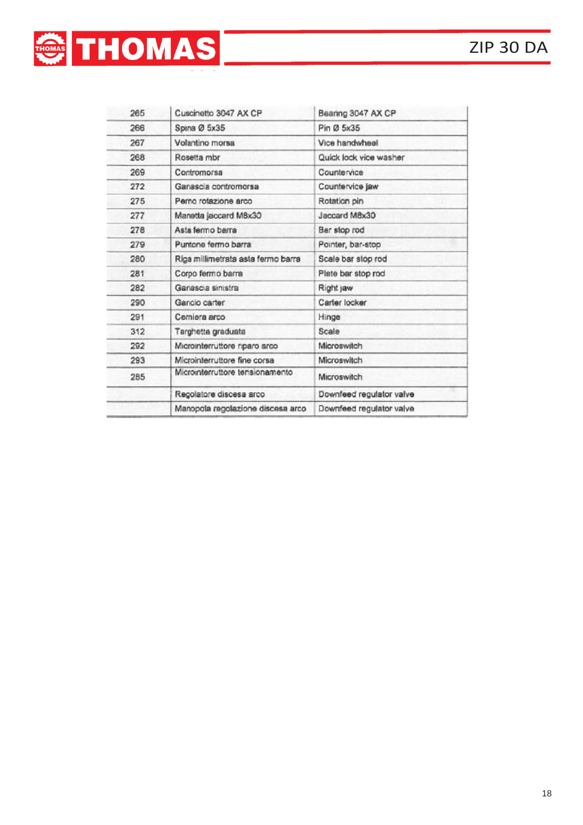

| 265 | Cuscinetto 3047 AX CP              | Bearing 3047 AX CP       |  |
|-----|------------------------------------|--------------------------|--|
| 266 | Spina Ø 5x35                       | Pin Ø 5x35               |  |
| 267 | Volantino morsa                    | Vice handwheel           |  |
| 268 | Rosetta mbr                        | Quick lock vice washer   |  |
| 269 | Contromorsa                        | Countervice              |  |
| 272 | Ganascia contromorsa               | Countervice jaw          |  |
| 275 | Perno rotazione arco               | Rotation pin             |  |
| 277 | Manetta jaccard M8x30              | Jaccard M8x30            |  |
| 278 | Asta fermo barra                   | Bar stop rod             |  |
| 279 | Puntone fermo barra                | Pointer, bar-stop        |  |
| 280 | Riga millimetrata asta fermo barra | Scale bar stop rod       |  |
| 281 | Corpo fermo barra                  | Plate bar stop rod       |  |
| 282 | Ganascia sinistra                  | Right jaw                |  |
| 290 | Gancio carter                      | Carter locker            |  |
| 291 | Cerniera arco                      | Hinge                    |  |
| 312 | Targhetta graduata                 | Scale                    |  |
| 292 | Microinterruttore riparo arco      | Microswitch              |  |
| 293 | Microinterruttore fine corsa       | Microswitch              |  |
| 285 | Microinterruttore tensionamento    | Microswitch              |  |
|     | Regolatore discesa arco            | Downfeed regulator valve |  |
|     | Manopola regolazione discesa arco  | Downfeed regulator valve |  |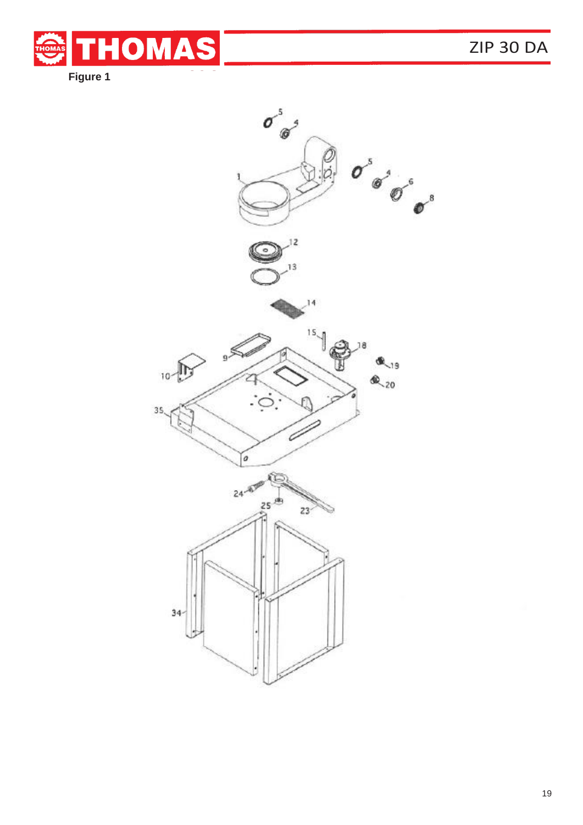



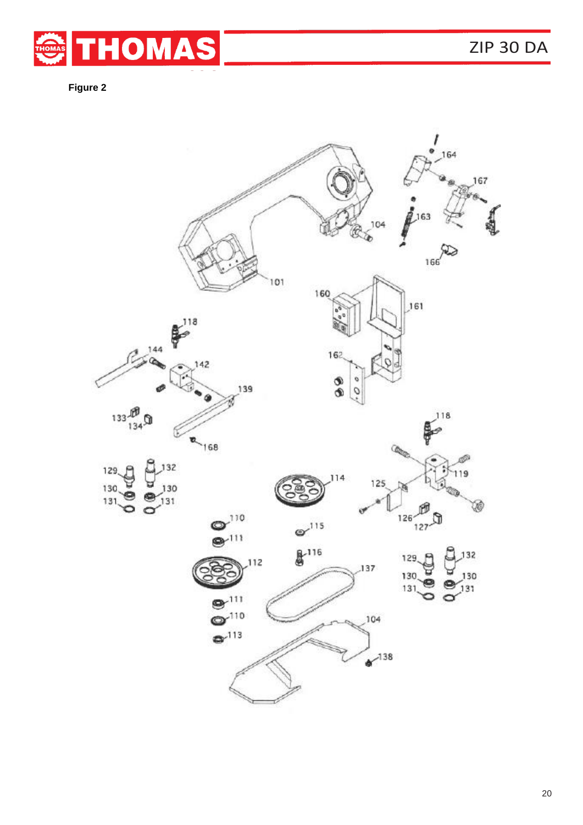

**Figure 2**

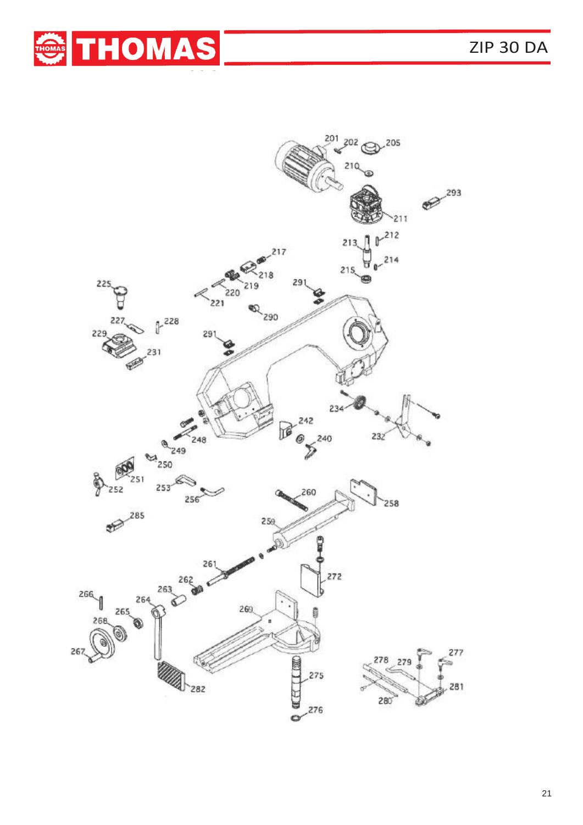